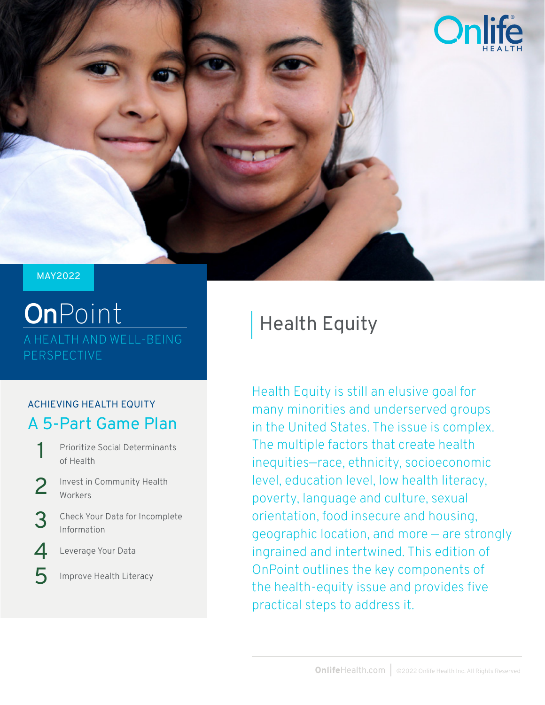

#### MAY2022

## **On**Point A HEALTH AND WELL-BEING PERSPECTIVE

#### ACHIEVING HEALTH EQUITY A 5-Part Game Plan

- Prioritize Social Determinants of Health 1
- Invest in Community Health Workers 2
- Check Your Data for Incomplete Information 3
- Leverage Your Data  $\boldsymbol{\varDelta}$
- Improve Health Literacy 5

## Health Equity

Health Equity is still an elusive goal for many minorities and underserved groups in the United States. The issue is complex. The multiple factors that create health inequities—race, ethnicity, socioeconomic level, education level, low health literacy, poverty, language and culture, sexual orientation, food insecure and housing, geographic location, and more — are strongly ingrained and intertwined. This edition of OnPoint outlines the key components of the health-equity issue and provides five practical steps to address it.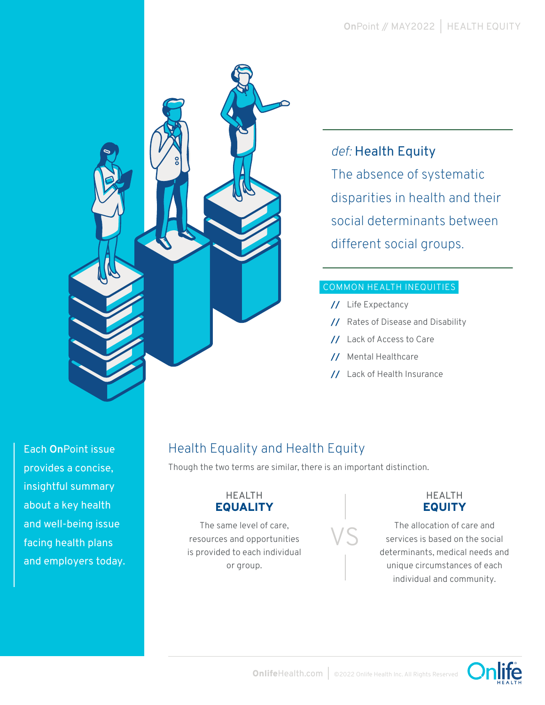

#### *def:* Health Equity

The absence of systematic disparities in health and their social determinants between different social groups.

#### COMMON HEALTH INEQUITIES

- **//** Life Expectancy
- **//** Rates of Disease and Disability
- **//** Lack of Access to Care
- **//** Mental Healthcare
- **//** Lack of Health Insurance

Each **On**Point issue provides a concise, insightful summary about a key health and well-being issue facing health plans and employers today.

#### Health Equality and Health Equity

Though the two terms are similar, there is an important distinction.

#### HEALTH EQUALITY

The same level of care, resources and opportunities is provided to each individual or group.



#### HEALTH **EQUITY**

The allocation of care and services is based on the social determinants, medical needs and unique circumstances of each individual and community.

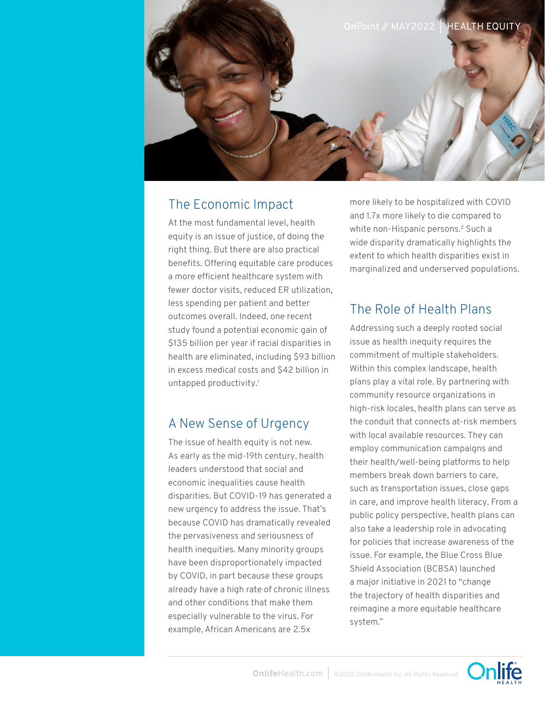

#### The Economic Impact

At the most fundamental level, health equity is an issue of justice, of doing the right thing. But there are also practical benefits. Offering equitable care produces a more efficient healthcare system with fewer doctor visits, reduced ER utilization, less spending per patient and better outcomes overall. Indeed, one recent study found a potential economic gain of \$135 billion per year if racial disparities in health are eliminated, including \$93 billion in excess medical costs and \$42 billion in untapped productivity.<sup>1</sup>

#### A New Sense of Urgency

The issue of health equity is not new. As early as the mid-19th century, health leaders understood that social and economic inequalities cause health disparities. But COVID-19 has generated a new urgency to address the issue. That's because COVID has dramatically revealed the pervasiveness and seriousness of health inequities. Many minority groups have been disproportionately impacted by COVID, in part because these groups already have a high rate of chronic illness and other conditions that make them especially vulnerable to the virus. For example, African Americans are 2.5x

more likely to be hospitalized with COVID and 1.7x more likely to die compared to white non-Hispanic persons.<sup>2</sup> Such a wide disparity dramatically highlights the extent to which health disparities exist in marginalized and underserved populations.

#### The Role of Health Plans

Addressing such a deeply rooted social issue as health inequity requires the commitment of multiple stakeholders. Within this complex landscape, health plans play a vital role. By partnering with community resource organizations in high-risk locales, health plans can serve as the conduit that connects at-risk members with local available resources. They can employ communication campaigns and their health/well-being platforms to help members break down barriers to care, such as transportation issues, close gaps in care, and improve health literacy. From a public policy perspective, health plans can also take a leadership role in advocating for policies that increase awareness of the issue. For example, the Blue Cross Blue Shield Association (BCBSA) launched a major initiative in 2021 to "change the trajectory of health disparities and reimagine a more equitable healthcare system."

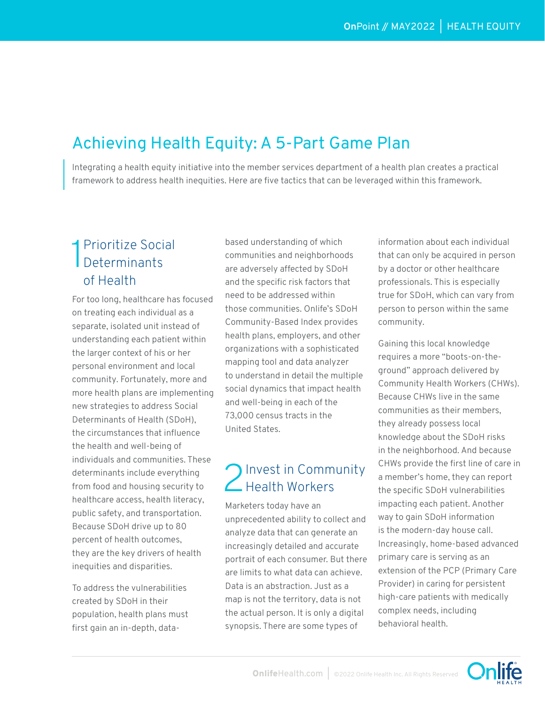### Achieving Health Equity: A 5-Part Game Plan

Integrating a health equity initiative into the member services department of a health plan creates a practical framework to address health inequities. Here are five tactics that can be leveraged within this framework.

#### 1 Prioritize Social<br>Determinants Determinants of Health

For too long, healthcare has focused on treating each individual as a separate, isolated unit instead of understanding each patient within the larger context of his or her personal environment and local community. Fortunately, more and more health plans are implementing new strategies to address Social Determinants of Health (SDoH), the circumstances that influence the health and well-being of individuals and communities. These determinants include everything from food and housing security to healthcare access, health literacy, public safety, and transportation. Because SDoH drive up to 80 percent of health outcomes, they are the key drivers of health inequities and disparities.

To address the vulnerabilities created by SDoH in their population, health plans must first gain an in-depth, databased understanding of which communities and neighborhoods are adversely affected by SDoH and the specific risk factors that need to be addressed within those communities. Onlife's SDoH Community-Based Index provides health plans, employers, and other organizations with a sophisticated mapping tool and data analyzer to understand in detail the multiple social dynamics that impact health and well-being in each of the 73,000 census tracts in the United States.

# 2 Invest in Community<br>2 Health Workers

Marketers today have an unprecedented ability to collect and analyze data that can generate an increasingly detailed and accurate portrait of each consumer. But there are limits to what data can achieve. Data is an abstraction. Just as a map is not the territory, data is not the actual person. It is only a digital synopsis. There are some types of

information about each individual that can only be acquired in person by a doctor or other healthcare professionals. This is especially true for SDoH, which can vary from person to person within the same community.

Gaining this local knowledge requires a more "boots-on-theground" approach delivered by Community Health Workers (CHWs). Because CHWs live in the same communities as their members, they already possess local knowledge about the SDoH risks in the neighborhood. And because CHWs provide the first line of care in a member's home, they can report the specific SDoH vulnerabilities impacting each patient. Another way to gain SDoH information is the modern-day house call. Increasingly, home-based advanced primary care is serving as an extension of the PCP (Primary Care Provider) in caring for persistent high-care patients with medically complex needs, including behavioral health.

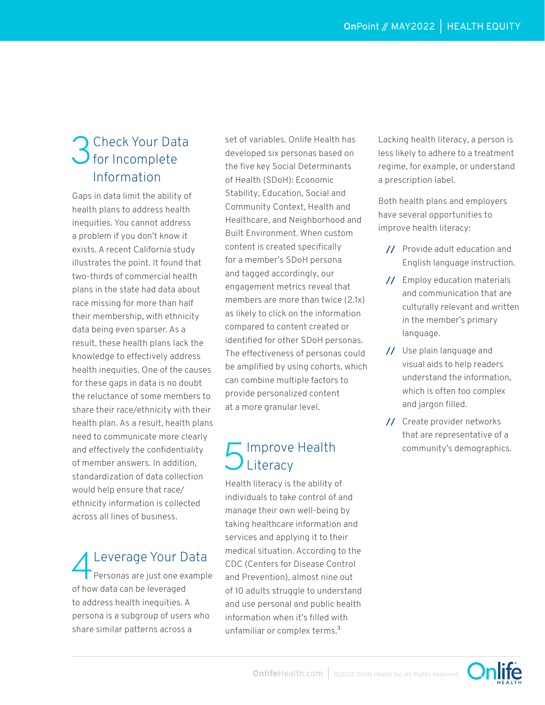# 3 Check Your Data Information

Gaps in data limit the ability of health plans to address health inequities. You cannot address a problem if you don't know it exists. A recent California study illustrates the point. It found that two-thirds of commercial health plans in the state had data about race missing for more than half their membership, with ethnicity data being even sparser. As a result, these health plans lack the knowledge to effectively address health inequities. One of the causes for these gaps in data is no doubt the reluctance of some members to share their race/ethnicity with their health plan. As a result, health plans need to communicate more clearly and effectively the confidentiality of member answers. In addition, standardization of data collection would help ensure that race/ ethnicity information is collected across all lines of business.

Leverage Your Data  $\Gamma$  Personas are just one example of how data can be leveraged to address health inequities. A persona is a subgroup of users who share similar patterns across a

set of variables. Onlife Health has developed six personas based on the five key Social Determinants of Health (SDoH): Economic Stability, Education, Social and Community Context, Health and Healthcare, and Neighborhood and Built Environment. When custom content is created specifically for a member's SDoH persona and tagged accordingly, our engagement metrics reveal that members are more than twice (2.1x) as likely to click on the information compared to content created or identified for other SDoH personas. The effectiveness of personas could be amplified by using cohorts, which can combine multiple factors to provide personalized content at a more granular level.

#### **The Improve Health** Literacy

Health literacy is the ability of individuals to take control of and manage their own well-being by taking healthcare information and services and applying it to their medical situation. According to the CDC (Centers for Disease Control and Prevention), almost nine out of 10 adults struggle to understand and use personal and public health information when it's filled with unfamiliar or complex terms.<sup>3</sup>

Lacking health literacy, a person is less likely to adhere to a treatment regime, for example, or understand a prescription label.

Both health plans and employers have several opportunities to improve health literacy:

- **//** Provide adult education and English language instruction.
- **//** Employ education materials and communication that are culturally relevant and written in the member's primary language.
- **//** Use plain language and visual aids to help readers understand the information, which is often too complex and jargon filled.
- **//** Create provider networks that are representative of a community's demographics.